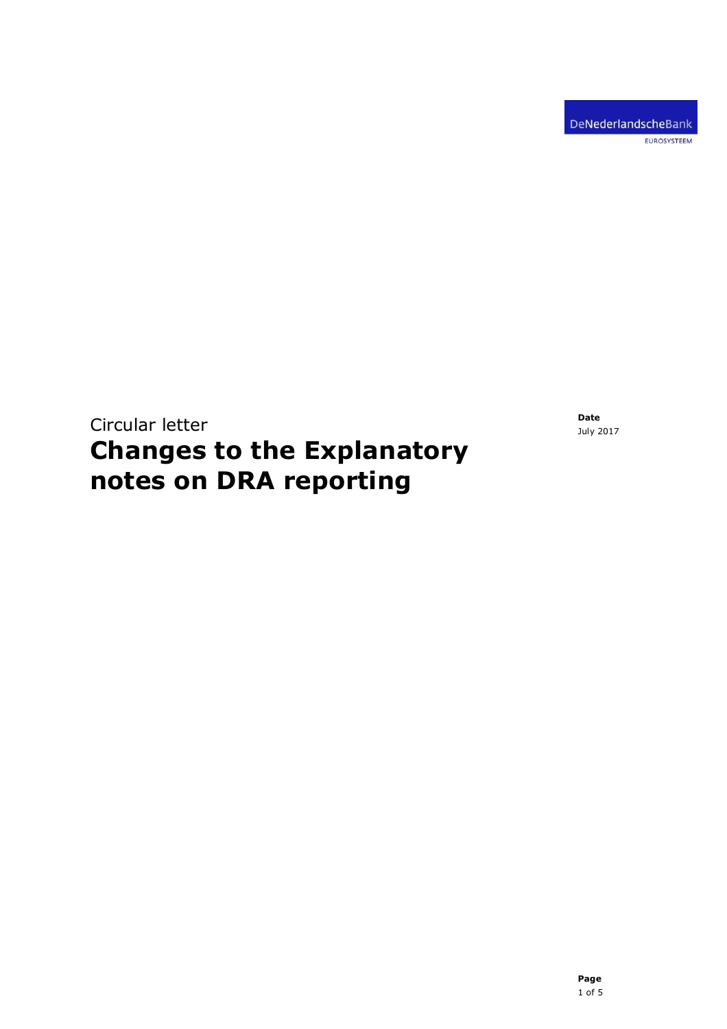DeNederlandscheBank EUROSYSTEEM

Circular letter Changes to the Explanatory notes on DRA reporting

Date July 2017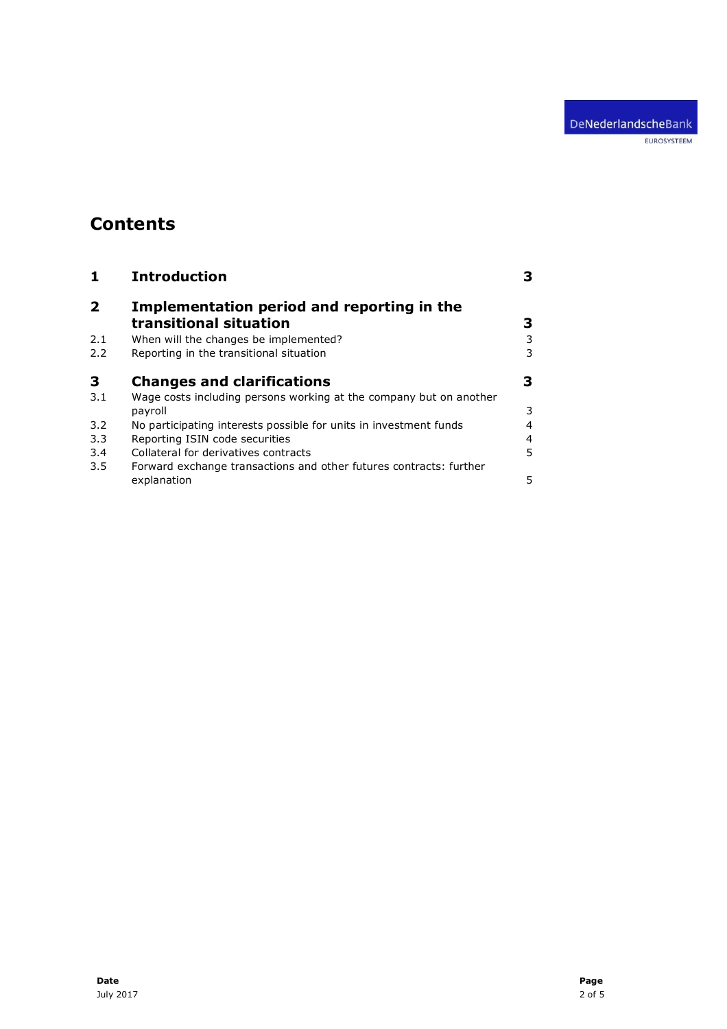EUROSYSTEEM

# **Contents**

|              | <b>Introduction</b>                                                |   |
|--------------|--------------------------------------------------------------------|---|
| $\mathbf{2}$ | Implementation period and reporting in the                         |   |
|              | transitional situation                                             | З |
| 2.1          | When will the changes be implemented?                              |   |
| 2.2          | Reporting in the transitional situation                            |   |
| 3            | <b>Changes and clarifications</b>                                  |   |
| 3.1          | Wage costs including persons working at the company but on another |   |
|              | payroll                                                            | 3 |
| 3.2          | No participating interests possible for units in investment funds  | 4 |
| 3.3          | Reporting ISIN code securities                                     | 4 |
| 3.4          | Collateral for derivatives contracts                               | 5 |
| 3.5          | Forward exchange transactions and other futures contracts: further |   |
|              | explanation                                                        | 5 |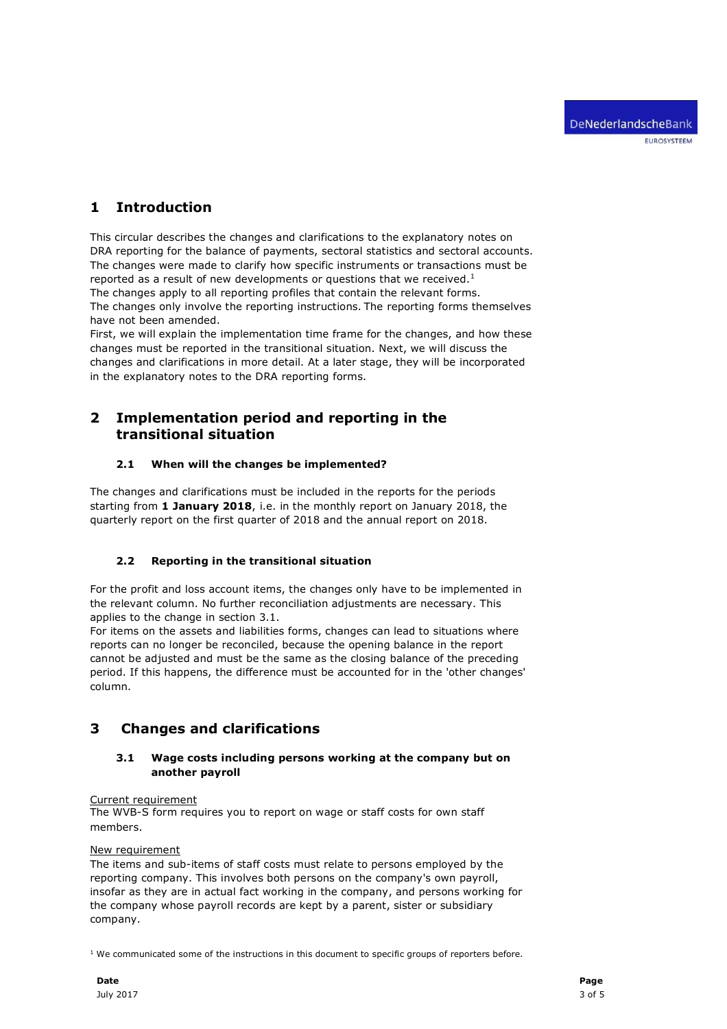# 1 Introduction

This circular describes the changes and clarifications to the explanatory notes on DRA reporting for the balance of payments, sectoral statistics and sectoral accounts. The changes were made to clarify how specific instruments or transactions must be reported as a result of new developments or questions that we received. $1$ The changes apply to all reporting profiles that contain the relevant forms. The changes only involve the reporting instructions. The reporting forms themselves have not been amended.

First, we will explain the implementation time frame for the changes, and how these changes must be reported in the transitional situation. Next, we will discuss the changes and clarifications in more detail. At a later stage, they will be incorporated in the explanatory notes to the DRA reporting forms.

# 2 Implementation period and reporting in the transitional situation

# 2.1 When will the changes be implemented?

The changes and clarifications must be included in the reports for the periods starting from 1 January 2018, i.e. in the monthly report on January 2018, the quarterly report on the first quarter of 2018 and the annual report on 2018.

# 2.2 Reporting in the transitional situation

For the profit and loss account items, the changes only have to be implemented in the relevant column. No further reconciliation adjustments are necessary. This applies to the change in section 3.1.

For items on the assets and liabilities forms, changes can lead to situations where reports can no longer be reconciled, because the opening balance in the report cannot be adjusted and must be the same as the closing balance of the preceding period. If this happens, the difference must be accounted for in the 'other changes' column.

# 3 Changes and clarifications

# 3.1 Wage costs including persons working at the company but on another payroll

#### Current requirement

The WVB-S form requires you to report on wage or staff costs for own staff members.

#### New requirement

The items and sub-items of staff costs must relate to persons employed by the reporting company. This involves both persons on the company's own payroll, insofar as they are in actual fact working in the company, and persons working for the company whose payroll records are kept by a parent, sister or subsidiary company.

 $1$  We communicated some of the instructions in this document to specific groups of reporters before.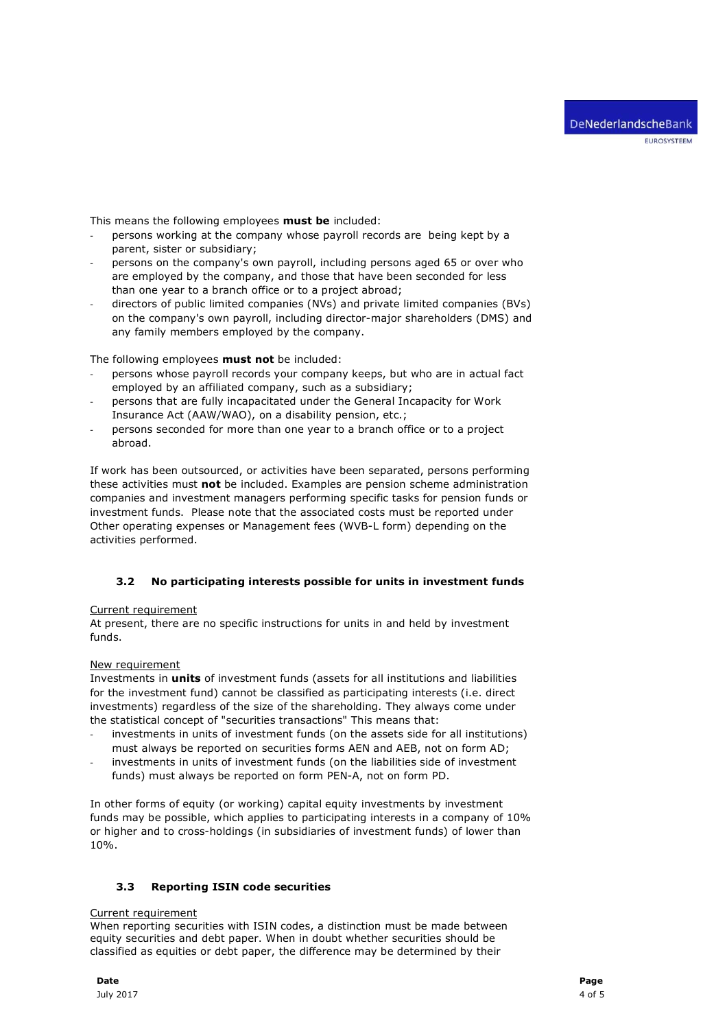This means the following employees must be included:

- persons working at the company whose payroll records are being kept by a parent, sister or subsidiary;
- persons on the company's own payroll, including persons aged 65 or over who are employed by the company, and those that have been seconded for less than one year to a branch office or to a project abroad;
- directors of public limited companies (NVs) and private limited companies (BVs) on the company's own payroll, including director-major shareholders (DMS) and any family members employed by the company.

The following employees must not be included:

- persons whose payroll records your company keeps, but who are in actual fact employed by an affiliated company, such as a subsidiary;
- persons that are fully incapacitated under the General Incapacity for Work Insurance Act (AAW/WAO), on a disability pension, etc.;
- persons seconded for more than one year to a branch office or to a project abroad.

If work has been outsourced, or activities have been separated, persons performing these activities must not be included. Examples are pension scheme administration companies and investment managers performing specific tasks for pension funds or investment funds. Please note that the associated costs must be reported under Other operating expenses or Management fees (WVB-L form) depending on the activities performed.

#### 3.2 No participating interests possible for units in investment funds

#### Current requirement

At present, there are no specific instructions for units in and held by investment funds.

#### New requirement

Investments in units of investment funds (assets for all institutions and liabilities for the investment fund) cannot be classified as participating interests (i.e. direct investments) regardless of the size of the shareholding. They always come under the statistical concept of "securities transactions" This means that:

- investments in units of investment funds (on the assets side for all institutions) must always be reported on securities forms AEN and AEB, not on form AD;
- investments in units of investment funds (on the liabilities side of investment funds) must always be reported on form PEN-A, not on form PD.

In other forms of equity (or working) capital equity investments by investment funds may be possible, which applies to participating interests in a company of 10% or higher and to cross-holdings (in subsidiaries of investment funds) of lower than 10%.

# 3.3 Reporting ISIN code securities

#### Current requirement

When reporting securities with ISIN codes, a distinction must be made between equity securities and debt paper. When in doubt whether securities should be classified as equities or debt paper, the difference may be determined by their